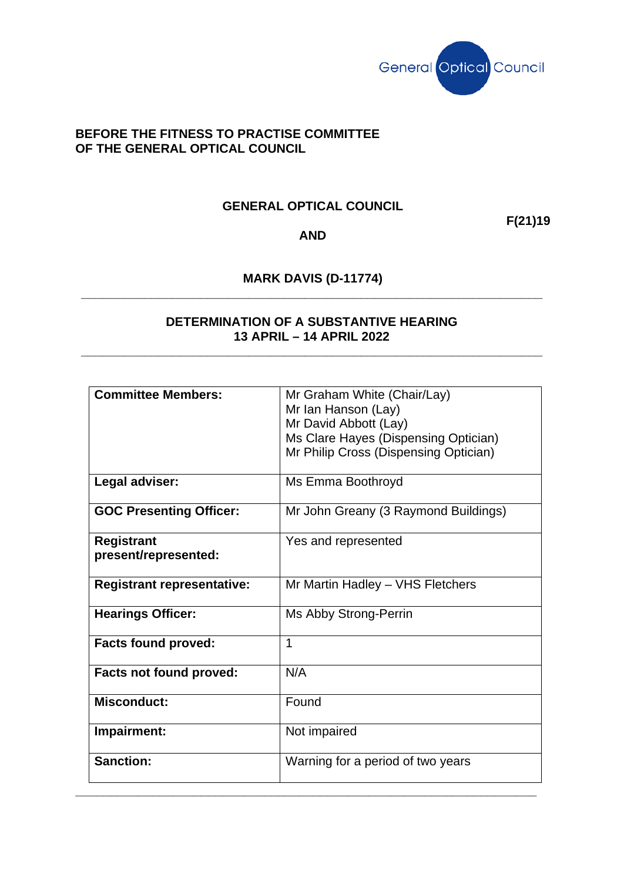

## **BEFORE THE FITNESS TO PRACTISE COMMITTEE OF THE GENERAL OPTICAL COUNCIL**

## **GENERAL OPTICAL COUNCIL**

**F(21)19**

## **AND**

## **MARK DAVIS (D-11774) \_\_\_\_\_\_\_\_\_\_\_\_\_\_\_\_\_\_\_\_\_\_\_\_\_\_\_\_\_\_\_\_\_\_\_\_\_\_\_\_\_\_\_\_\_\_\_\_\_\_\_\_\_\_\_\_\_\_\_\_\_\_\_\_\_\_**

## **DETERMINATION OF A SUBSTANTIVE HEARING 13 APRIL – 14 APRIL 2022**

**\_\_\_\_\_\_\_\_\_\_\_\_\_\_\_\_\_\_\_\_\_\_\_\_\_\_\_\_\_\_\_\_\_\_\_\_\_\_\_\_\_\_\_\_\_\_\_\_\_\_\_\_\_\_\_\_\_\_\_\_\_\_\_\_\_\_**

| <b>Committee Members:</b>                 | Mr Graham White (Chair/Lay)<br>Mr Ian Hanson (Lay)<br>Mr David Abbott (Lay)<br>Ms Clare Hayes (Dispensing Optician) |
|-------------------------------------------|---------------------------------------------------------------------------------------------------------------------|
|                                           | Mr Philip Cross (Dispensing Optician)                                                                               |
| Legal adviser:                            | Ms Emma Boothroyd                                                                                                   |
| <b>GOC Presenting Officer:</b>            | Mr John Greany (3 Raymond Buildings)                                                                                |
| <b>Registrant</b><br>present/represented: | Yes and represented                                                                                                 |
| <b>Registrant representative:</b>         | Mr Martin Hadley - VHS Fletchers                                                                                    |
| <b>Hearings Officer:</b>                  | Ms Abby Strong-Perrin                                                                                               |
| <b>Facts found proved:</b>                | 1                                                                                                                   |
| <b>Facts not found proved:</b>            | N/A                                                                                                                 |
| <b>Misconduct:</b>                        | Found                                                                                                               |
| Impairment:                               | Not impaired                                                                                                        |
| <b>Sanction:</b>                          | Warning for a period of two years                                                                                   |

**\_\_\_\_\_\_\_\_\_\_\_\_\_\_\_\_\_\_\_\_\_\_\_\_\_\_\_\_\_\_\_\_\_\_\_\_\_\_\_\_\_\_\_\_\_\_\_\_\_\_\_\_\_\_\_\_\_\_\_\_\_\_\_\_\_\_**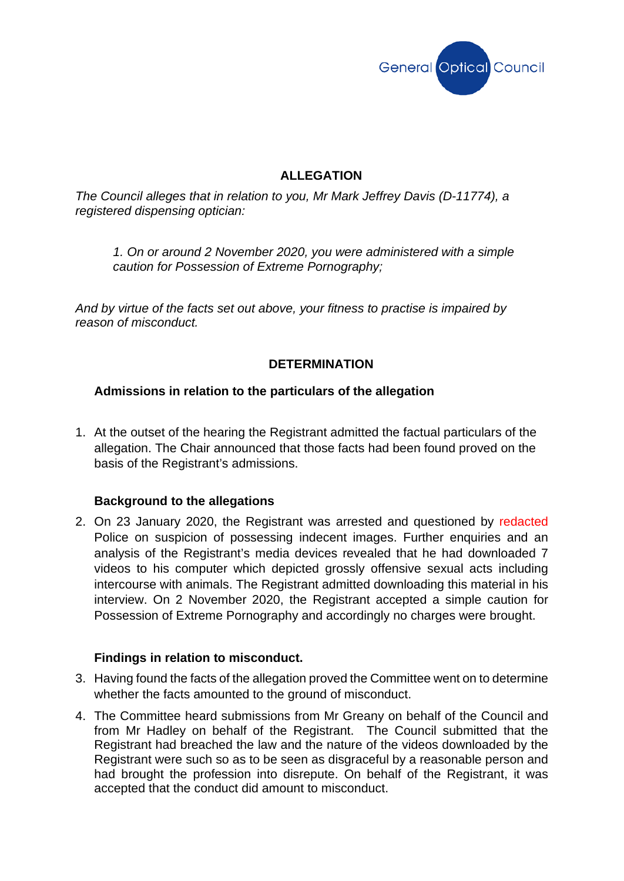

# **ALLEGATION**

*The Council alleges that in relation to you, Mr Mark Jeffrey Davis (D-11774), a registered dispensing optician:*

*1. On or around 2 November 2020, you were administered with a simple caution for Possession of Extreme Pornography;*

*And by virtue of the facts set out above, your fitness to practise is impaired by reason of misconduct.*

# **DETERMINATION**

## **Admissions in relation to the particulars of the allegation**

1. At the outset of the hearing the Registrant admitted the factual particulars of the allegation. The Chair announced that those facts had been found proved on the basis of the Registrant's admissions.

### **Background to the allegations**

2. On 23 January 2020, the Registrant was arrested and questioned by redacted Police on suspicion of possessing indecent images. Further enquiries and an analysis of the Registrant's media devices revealed that he had downloaded 7 videos to his computer which depicted grossly offensive sexual acts including intercourse with animals. The Registrant admitted downloading this material in his interview. On 2 November 2020, the Registrant accepted a simple caution for Possession of Extreme Pornography and accordingly no charges were brought.

### **Findings in relation to misconduct.**

- 3. Having found the facts of the allegation proved the Committee went on to determine whether the facts amounted to the ground of misconduct.
- 4. The Committee heard submissions from Mr Greany on behalf of the Council and from Mr Hadley on behalf of the Registrant. The Council submitted that the Registrant had breached the law and the nature of the videos downloaded by the Registrant were such so as to be seen as disgraceful by a reasonable person and had brought the profession into disrepute. On behalf of the Registrant, it was accepted that the conduct did amount to misconduct.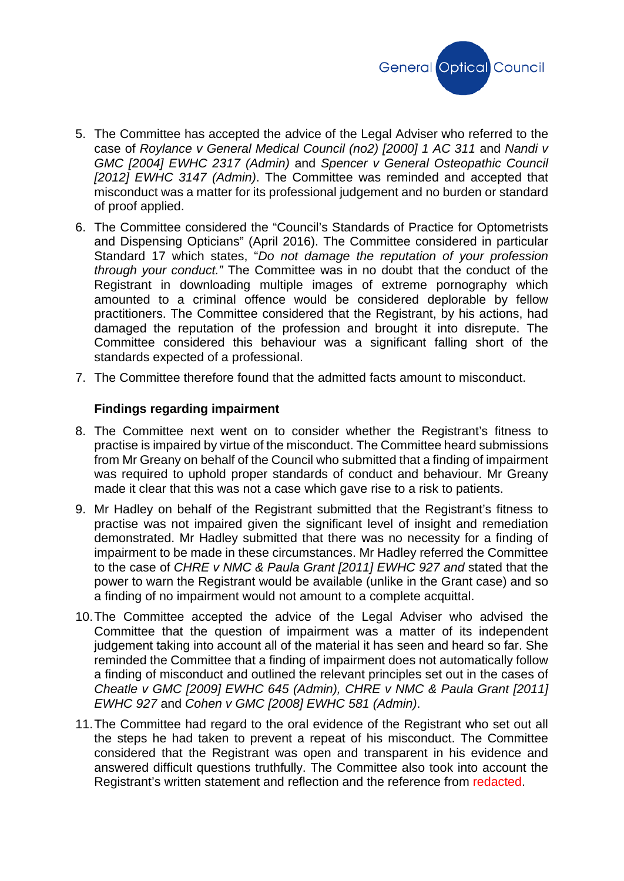

- 5. The Committee has accepted the advice of the Legal Adviser who referred to the case of *Roylance v General Medical Council (no2) [2000] 1 AC 311* and *Nandi v GMC [2004] EWHC 2317 (Admin)* and *Spencer v General Osteopathic Council [2012] EWHC 3147 (Admin)*. The Committee was reminded and accepted that misconduct was a matter for its professional judgement and no burden or standard of proof applied.
- 6. The Committee considered the "Council's Standards of Practice for Optometrists and Dispensing Opticians" (April 2016). The Committee considered in particular Standard 17 which states, "*Do not damage the reputation of your profession through your conduct."* The Committee was in no doubt that the conduct of the Registrant in downloading multiple images of extreme pornography which amounted to a criminal offence would be considered deplorable by fellow practitioners. The Committee considered that the Registrant, by his actions, had damaged the reputation of the profession and brought it into disrepute. The Committee considered this behaviour was a significant falling short of the standards expected of a professional.
- 7. The Committee therefore found that the admitted facts amount to misconduct.

#### **Findings regarding impairment**

- 8. The Committee next went on to consider whether the Registrant's fitness to practise is impaired by virtue of the misconduct. The Committee heard submissions from Mr Greany on behalf of the Council who submitted that a finding of impairment was required to uphold proper standards of conduct and behaviour. Mr Greany made it clear that this was not a case which gave rise to a risk to patients.
- 9. Mr Hadley on behalf of the Registrant submitted that the Registrant's fitness to practise was not impaired given the significant level of insight and remediation demonstrated. Mr Hadley submitted that there was no necessity for a finding of impairment to be made in these circumstances. Mr Hadley referred the Committee to the case of *CHRE v NMC & Paula Grant [2011] EWHC 927 and* stated that the power to warn the Registrant would be available (unlike in the Grant case) and so a finding of no impairment would not amount to a complete acquittal.
- 10.The Committee accepted the advice of the Legal Adviser who advised the Committee that the question of impairment was a matter of its independent judgement taking into account all of the material it has seen and heard so far. She reminded the Committee that a finding of impairment does not automatically follow a finding of misconduct and outlined the relevant principles set out in the cases of *Cheatle v GMC [2009] EWHC 645 (Admin), CHRE v NMC & Paula Grant [2011] EWHC 927* and *Cohen v GMC [2008] EWHC 581 (Admin)*.
- 11.The Committee had regard to the oral evidence of the Registrant who set out all the steps he had taken to prevent a repeat of his misconduct. The Committee considered that the Registrant was open and transparent in his evidence and answered difficult questions truthfully. The Committee also took into account the Registrant's written statement and reflection and the reference from redacted.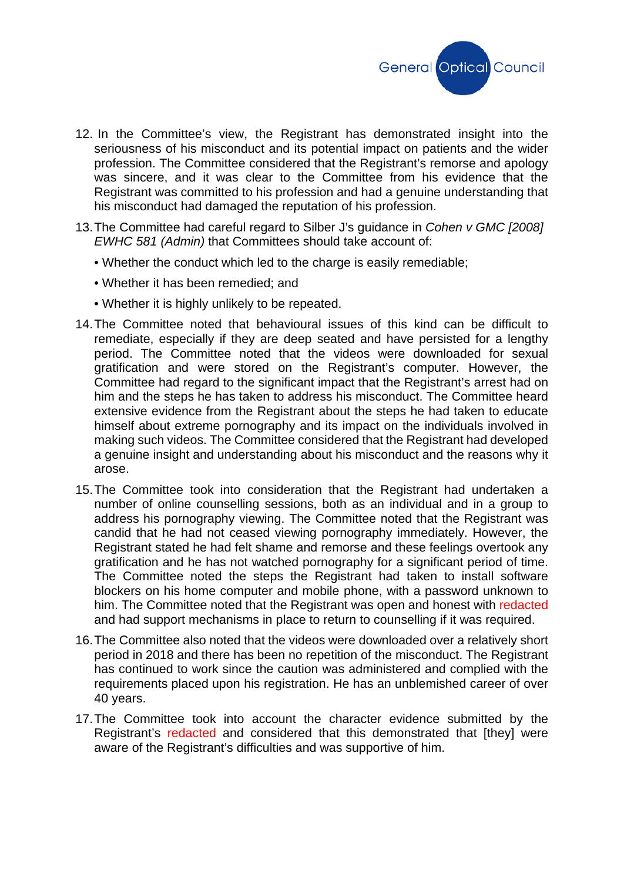

- 12. In the Committee's view, the Registrant has demonstrated insight into the seriousness of his misconduct and its potential impact on patients and the wider profession. The Committee considered that the Registrant's remorse and apology was sincere, and it was clear to the Committee from his evidence that the Registrant was committed to his profession and had a genuine understanding that his misconduct had damaged the reputation of his profession.
- 13.The Committee had careful regard to Silber J's guidance in *Cohen v GMC [2008] EWHC 581 (Admin)* that Committees should take account of:
	- Whether the conduct which led to the charge is easily remediable;
	- Whether it has been remedied; and
	- Whether it is highly unlikely to be repeated.
- 14.The Committee noted that behavioural issues of this kind can be difficult to remediate, especially if they are deep seated and have persisted for a lengthy period. The Committee noted that the videos were downloaded for sexual gratification and were stored on the Registrant's computer. However, the Committee had regard to the significant impact that the Registrant's arrest had on him and the steps he has taken to address his misconduct. The Committee heard extensive evidence from the Registrant about the steps he had taken to educate himself about extreme pornography and its impact on the individuals involved in making such videos. The Committee considered that the Registrant had developed a genuine insight and understanding about his misconduct and the reasons why it arose.
- 15.The Committee took into consideration that the Registrant had undertaken a number of online counselling sessions, both as an individual and in a group to address his pornography viewing. The Committee noted that the Registrant was candid that he had not ceased viewing pornography immediately. However, the Registrant stated he had felt shame and remorse and these feelings overtook any gratification and he has not watched pornography for a significant period of time. The Committee noted the steps the Registrant had taken to install software blockers on his home computer and mobile phone, with a password unknown to him. The Committee noted that the Registrant was open and honest with redacted and had support mechanisms in place to return to counselling if it was required.
- 16.The Committee also noted that the videos were downloaded over a relatively short period in 2018 and there has been no repetition of the misconduct. The Registrant has continued to work since the caution was administered and complied with the requirements placed upon his registration. He has an unblemished career of over 40 years.
- 17.The Committee took into account the character evidence submitted by the Registrant's redacted and considered that this demonstrated that [they] were aware of the Registrant's difficulties and was supportive of him.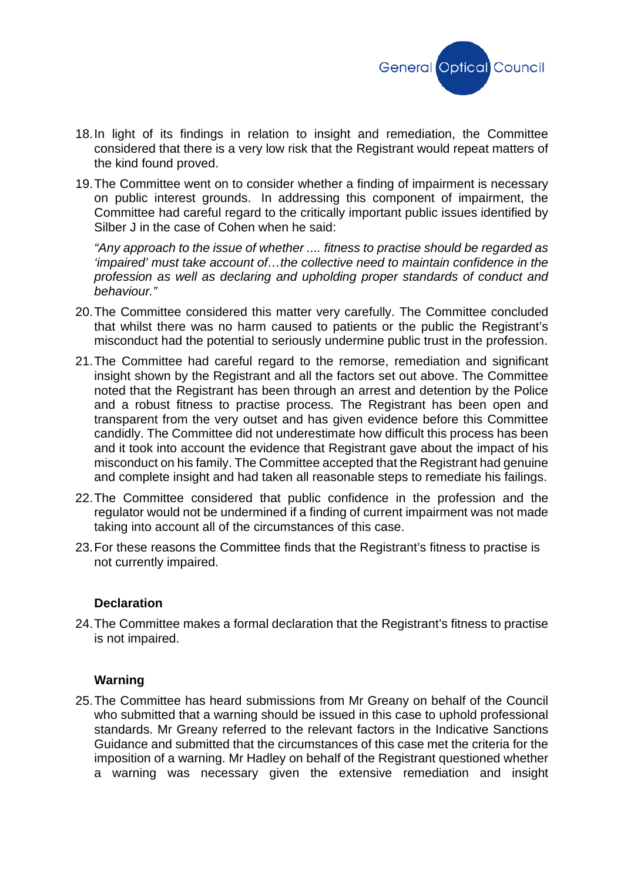

- 18.In light of its findings in relation to insight and remediation, the Committee considered that there is a very low risk that the Registrant would repeat matters of the kind found proved.
- 19.The Committee went on to consider whether a finding of impairment is necessary on public interest grounds. In addressing this component of impairment, the Committee had careful regard to the critically important public issues identified by Silber J in the case of Cohen when he said:

*"Any approach to the issue of whether .... fitness to practise should be regarded as 'impaired' must take account of…the collective need to maintain confidence in the profession as well as declaring and upholding proper standards of conduct and behaviour."*

- 20.The Committee considered this matter very carefully. The Committee concluded that whilst there was no harm caused to patients or the public the Registrant's misconduct had the potential to seriously undermine public trust in the profession.
- 21.The Committee had careful regard to the remorse, remediation and significant insight shown by the Registrant and all the factors set out above. The Committee noted that the Registrant has been through an arrest and detention by the Police and a robust fitness to practise process. The Registrant has been open and transparent from the very outset and has given evidence before this Committee candidly. The Committee did not underestimate how difficult this process has been and it took into account the evidence that Registrant gave about the impact of his misconduct on his family. The Committee accepted that the Registrant had genuine and complete insight and had taken all reasonable steps to remediate his failings.
- 22.The Committee considered that public confidence in the profession and the regulator would not be undermined if a finding of current impairment was not made taking into account all of the circumstances of this case.
- 23.For these reasons the Committee finds that the Registrant's fitness to practise is not currently impaired.

### **Declaration**

24.The Committee makes a formal declaration that the Registrant's fitness to practise is not impaired.

### **Warning**

25.The Committee has heard submissions from Mr Greany on behalf of the Council who submitted that a warning should be issued in this case to uphold professional standards. Mr Greany referred to the relevant factors in the Indicative Sanctions Guidance and submitted that the circumstances of this case met the criteria for the imposition of a warning. Mr Hadley on behalf of the Registrant questioned whether a warning was necessary given the extensive remediation and insight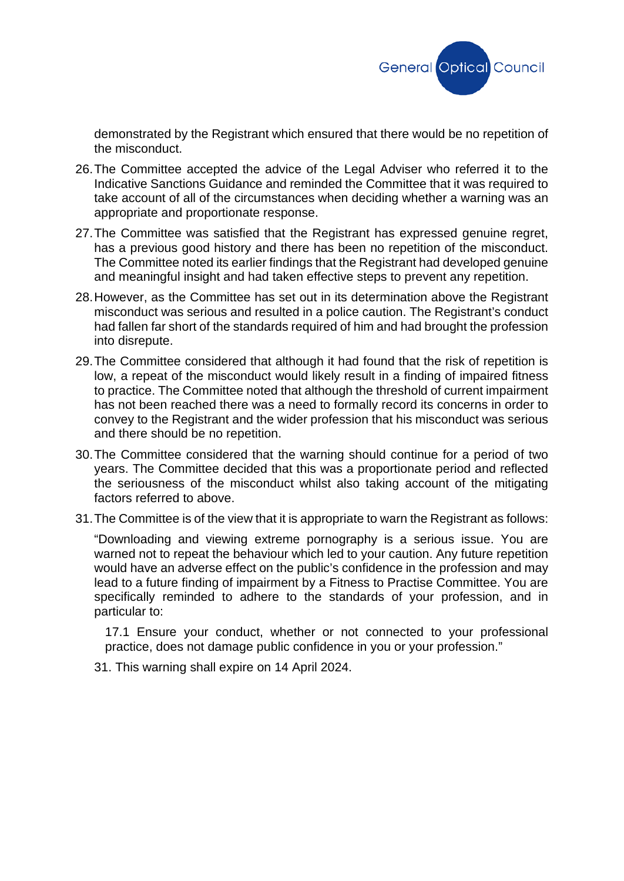

demonstrated by the Registrant which ensured that there would be no repetition of the misconduct.

- 26.The Committee accepted the advice of the Legal Adviser who referred it to the Indicative Sanctions Guidance and reminded the Committee that it was required to take account of all of the circumstances when deciding whether a warning was an appropriate and proportionate response.
- 27.The Committee was satisfied that the Registrant has expressed genuine regret, has a previous good history and there has been no repetition of the misconduct. The Committee noted its earlier findings that the Registrant had developed genuine and meaningful insight and had taken effective steps to prevent any repetition.
- 28.However, as the Committee has set out in its determination above the Registrant misconduct was serious and resulted in a police caution. The Registrant's conduct had fallen far short of the standards required of him and had brought the profession into disrepute.
- 29.The Committee considered that although it had found that the risk of repetition is low, a repeat of the misconduct would likely result in a finding of impaired fitness to practice. The Committee noted that although the threshold of current impairment has not been reached there was a need to formally record its concerns in order to convey to the Registrant and the wider profession that his misconduct was serious and there should be no repetition.
- 30.The Committee considered that the warning should continue for a period of two years. The Committee decided that this was a proportionate period and reflected the seriousness of the misconduct whilst also taking account of the mitigating factors referred to above.
- 31.The Committee is of the view that it is appropriate to warn the Registrant as follows:

"Downloading and viewing extreme pornography is a serious issue. You are warned not to repeat the behaviour which led to your caution. Any future repetition would have an adverse effect on the public's confidence in the profession and may lead to a future finding of impairment by a Fitness to Practise Committee. You are specifically reminded to adhere to the standards of your profession, and in particular to:

17.1 Ensure your conduct, whether or not connected to your professional practice, does not damage public confidence in you or your profession."

31. This warning shall expire on 14 April 2024.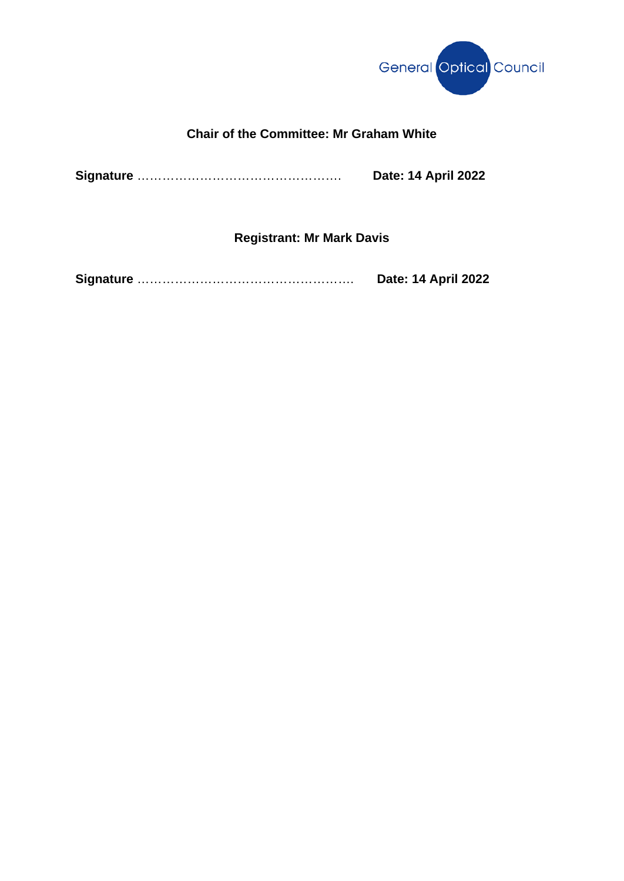

# **Chair of the Committee: Mr Graham White**

**Signature** …………………………………………. **Date: 14 April 2022**

**Registrant: Mr Mark Davis**

| <b>Date: 14 April 2022</b> |
|----------------------------|
|                            |